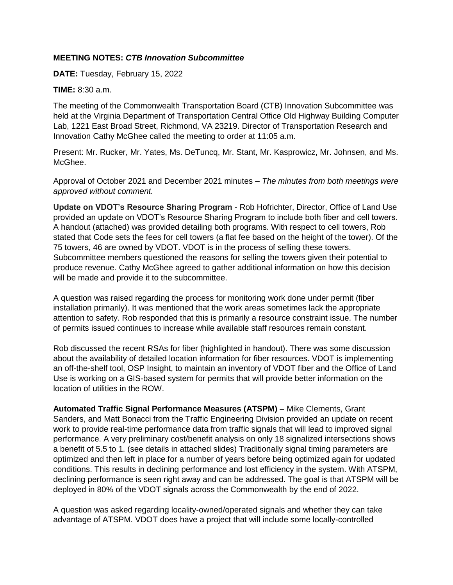## **MEETING NOTES:** *CTB Innovation Subcommittee*

**DATE:** Tuesday, February 15, 2022

## **TIME:** 8:30 a.m.

The meeting of the Commonwealth Transportation Board (CTB) Innovation Subcommittee was held at the Virginia Department of Transportation Central Office Old Highway Building Computer Lab, 1221 East Broad Street, Richmond, VA 23219. Director of Transportation Research and Innovation Cathy McGhee called the meeting to order at 11:05 a.m.

Present: Mr. Rucker, Mr. Yates, Ms. DeTuncq, Mr. Stant, Mr. Kasprowicz, Mr. Johnsen, and Ms. McGhee.

Approval of October 2021 and December 2021 minutes – *The minutes from both meetings were approved without comment.*

**Update on VDOT's Resource Sharing Program** *-* Rob Hofrichter, Director, Office of Land Use provided an update on VDOT's Resource Sharing Program to include both fiber and cell towers. A handout (attached) was provided detailing both programs. With respect to cell towers, Rob stated that Code sets the fees for cell towers (a flat fee based on the height of the tower). Of the 75 towers, 46 are owned by VDOT. VDOT is in the process of selling these towers. Subcommittee members questioned the reasons for selling the towers given their potential to produce revenue. Cathy McGhee agreed to gather additional information on how this decision will be made and provide it to the subcommittee.

A question was raised regarding the process for monitoring work done under permit (fiber installation primarily). It was mentioned that the work areas sometimes lack the appropriate attention to safety. Rob responded that this is primarily a resource constraint issue. The number of permits issued continues to increase while available staff resources remain constant.

Rob discussed the recent RSAs for fiber (highlighted in handout). There was some discussion about the availability of detailed location information for fiber resources. VDOT is implementing an off-the-shelf tool, OSP Insight, to maintain an inventory of VDOT fiber and the Office of Land Use is working on a GIS-based system for permits that will provide better information on the location of utilities in the ROW.

**Automated Traffic Signal Performance Measures (ATSPM) –** Mike Clements, Grant Sanders, and Matt Bonacci from the Traffic Engineering Division provided an update on recent work to provide real-time performance data from traffic signals that will lead to improved signal performance. A very preliminary cost/benefit analysis on only 18 signalized intersections shows a benefit of 5.5 to 1. (see details in attached slides) Traditionally signal timing parameters are optimized and then left in place for a number of years before being optimized again for updated conditions. This results in declining performance and lost efficiency in the system. With ATSPM, declining performance is seen right away and can be addressed. The goal is that ATSPM will be deployed in 80% of the VDOT signals across the Commonwealth by the end of 2022.

A question was asked regarding locality-owned/operated signals and whether they can take advantage of ATSPM. VDOT does have a project that will include some locally-controlled